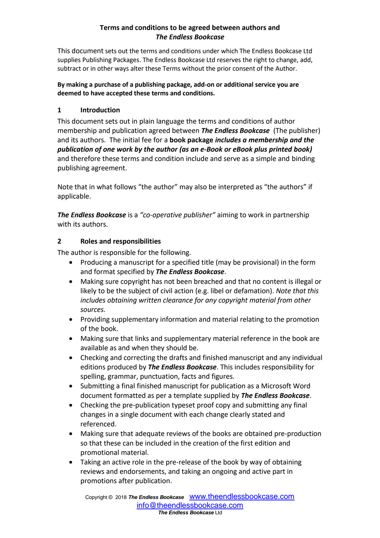### **Terms and conditions to be agreed between authors and**  *The Endless Bookcase*

This document sets out the terms and conditions under which The Endless Bookcase Ltd supplies Publishing Packages. The Endless Bookcase Ltd reserves the right to change, add, subtract or in other ways alter these Terms without the prior consent of the Author.

#### **By making a purchase of a publishing package, add-on or additional service you are deemed to have accepted these terms and conditions.**

## **1 Introduction**

This document sets out in plain language the terms and conditions of author membership and publication agreed between *The Endless Bookcase* (The publisher) and its authors. The initial fee for a **book package** *includes a membership and the publication of one work by the author (as an e-Book or eBook plus printed book)*  and therefore these terms and condition include and serve as a simple and binding publishing agreement.

Note that in what follows "the author" may also be interpreted as "the authors" if applicable.

*The Endless Bookcase* is a *"co-operative publisher"* aiming to work in partnership with its authors.

## **2 Roles and responsibilities**

The author is responsible for the following.

- Producing a manuscript for a specified title (may be provisional) in the form and format specified by *The Endless Bookcase*.
- Making sure copyright has not been breached and that no content is illegal or likely to be the subject of civil action (e.g. libel or defamation). *Note that this includes obtaining written clearance for any copyright material from other sources.*
- Providing supplementary information and material relating to the promotion of the book.
- Making sure that links and supplementary material reference in the book are available as and when they should be.
- Checking and correcting the drafts and finished manuscript and any individual editions produced by *The Endless Bookcase*. This includes responsibility for spelling, grammar, punctuation, facts and figures.
- Submitting a final finished manuscript for publication as a Microsoft Word document formatted as per a template supplied by *The Endless Bookcase*.
- Checking the pre-publication typeset proof copy and submitting any final changes in a single document with each change clearly stated and referenced.
- Making sure that adequate reviews of the books are obtained pre-production so that these can be included in the creation of the first edition and promotional material.
- Taking an active role in the pre-release of the book by way of obtaining reviews and endorsements, and taking an ongoing and active part in promotions after publication.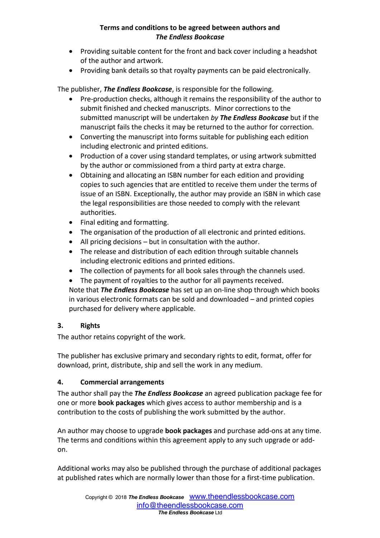## **Terms and conditions to be agreed between authors and**  *The Endless Bookcase*

- Providing suitable content for the front and back cover including a headshot of the author and artwork.
- Providing bank details so that royalty payments can be paid electronically.

The publisher, *The Endless Bookcase*, is responsible for the following.

- Pre-production checks, although it remains the responsibility of the author to submit finished and checked manuscripts. Minor corrections to the submitted manuscript will be undertaken *by The Endless Bookcase* but if the manuscript fails the checks it may be returned to the author for correction.
- Converting the manuscript into forms suitable for publishing each edition including electronic and printed editions.
- Production of a cover using standard templates, or using artwork submitted by the author or commissioned from a third party at extra charge.
- Obtaining and allocating an ISBN number for each edition and providing copies to such agencies that are entitled to receive them under the terms of issue of an ISBN. Exceptionally, the author may provide an ISBN in which case the legal responsibilities are those needed to comply with the relevant authorities.
- Final editing and formatting.
- The organisation of the production of all electronic and printed editions.
- All pricing decisions but in consultation with the author.
- The release and distribution of each edition through suitable channels including electronic editions and printed editions.
- The collection of payments for all book sales through the channels used.
- The payment of royalties to the author for all payments received.

Note that *The Endless Bookcase* has set up an on-line shop through which books in various electronic formats can be sold and downloaded – and printed copies purchased for delivery where applicable.

# **3. Rights**

The author retains copyright of the work.

The publisher has exclusive primary and secondary rights to edit, format, offer for download, print, distribute, ship and sell the work in any medium.

# **4. Commercial arrangements**

The author shall pay the *The Endless Bookcase* an agreed publication package fee for one or more **book packages** which gives access to author membership and is a contribution to the costs of publishing the work submitted by the author.

An author may choose to upgrade **book packages** and purchase add-ons at any time. The terms and conditions within this agreement apply to any such upgrade or addon.

Additional works may also be published through the purchase of additional packages at published rates which are normally lower than those for a first-time publication.